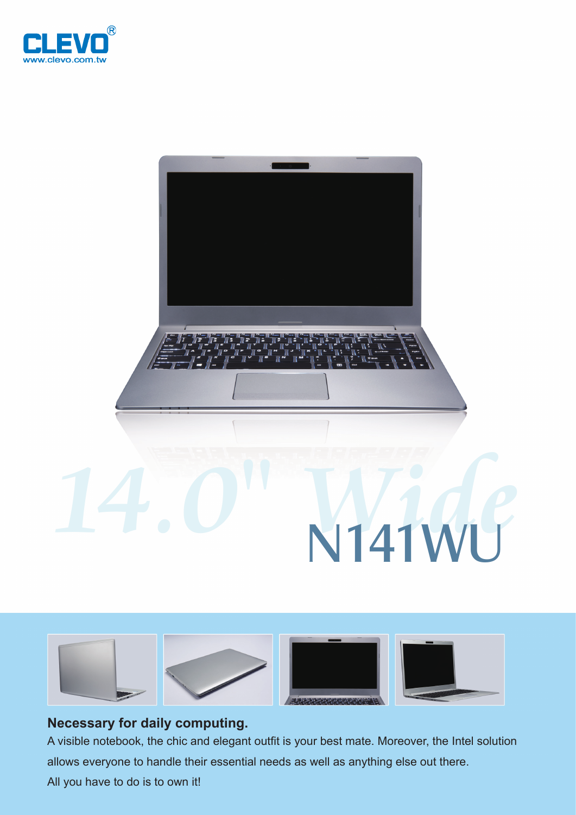





## **Necessary for daily computing.**

A visible notebook, the chic and elegant outfit is your best mate. Moreover, the Intel solution allows everyone to handle their essential needs as well as anything else out there.

All you have to do is to own it!